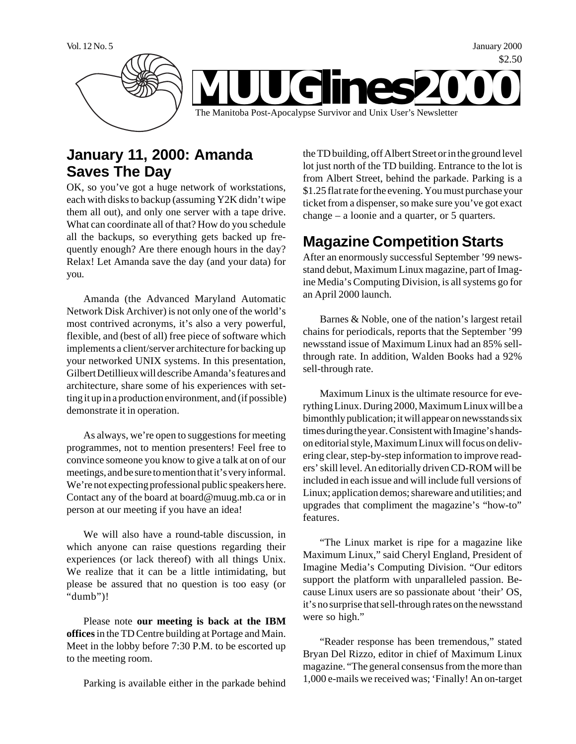

# **January 11, 2000: Amanda Saves The Day**

OK, so you've got a huge network of workstations, each with disks to backup (assuming Y2K didn't wipe them all out), and only one server with a tape drive. What can coordinate all of that? How do you schedule all the backups, so everything gets backed up frequently enough? Are there enough hours in the day? Relax! Let Amanda save the day (and your data) for you.

Amanda (the Advanced Maryland Automatic Network Disk Archiver) is not only one of the world's most contrived acronyms, it's also a very powerful, flexible, and (best of all) free piece of software which implements a client/server architecture for backing up your networked UNIX systems. In this presentation, Gilbert Detillieux will describe Amanda's features and architecture, share some of his experiences with setting it up in a production environment, and (if possible) demonstrate it in operation.

As always, we're open to suggestions for meeting programmes, not to mention presenters! Feel free to convince someone you know to give a talk at on of our meetings, and be sure to mention that it's very informal. We're not expecting professional public speakers here. Contact any of the board at board@muug.mb.ca or in person at our meeting if you have an idea!

We will also have a round-table discussion, in which anyone can raise questions regarding their experiences (or lack thereof) with all things Unix. We realize that it can be a little intimidating, but please be assured that no question is too easy (or "dumb")!

Please note **our meeting is back at the IBM offices** in the TD Centre building at Portage and Main. Meet in the lobby before 7:30 P.M. to be escorted up to the meeting room.

Parking is available either in the parkade behind

the TD building, off Albert Street or in the ground level lot just north of the TD building. Entrance to the lot is from Albert Street, behind the parkade. Parking is a \$1.25 flat rate for the evening. You must purchase your ticket from a dispenser, so make sure you've got exact change – a loonie and a quarter, or 5 quarters.

# **Magazine Competition Starts**

After an enormously successful September '99 newsstand debut, Maximum Linux magazine, part of Imagine Media's Computing Division, is all systems go for an April 2000 launch.

Barnes & Noble, one of the nation's largest retail chains for periodicals, reports that the September '99 newsstand issue of Maximum Linux had an 85% sellthrough rate. In addition, Walden Books had a 92% sell-through rate.

Maximum Linux is the ultimate resource for everything Linux. During 2000, Maximum Linux will be a bimonthly publication; it will appear on newsstands six times during the year. Consistent with Imagine's handson editorial style, Maximum Linux will focus on delivering clear, step-by-step information to improve readers' skill level. An editorially driven CD-ROM will be included in each issue and will include full versions of Linux; application demos; shareware and utilities; and upgrades that compliment the magazine's "how-to" features.

"The Linux market is ripe for a magazine like Maximum Linux," said Cheryl England, President of Imagine Media's Computing Division. "Our editors support the platform with unparalleled passion. Because Linux users are so passionate about 'their' OS, it's no surprise that sell-through rates on the newsstand were so high."

"Reader response has been tremendous," stated Bryan Del Rizzo, editor in chief of Maximum Linux magazine. "The general consensus from the more than 1,000 e-mails we received was; 'Finally! An on-target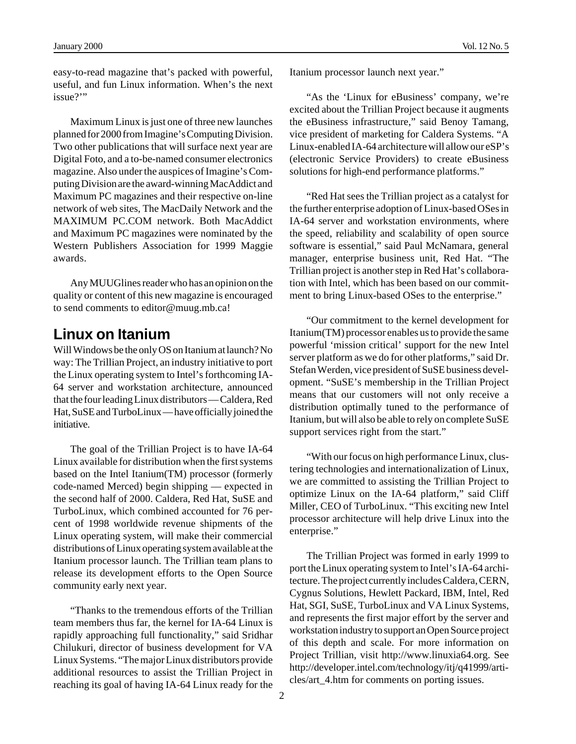easy-to-read magazine that's packed with powerful, useful, and fun Linux information. When's the next issue?"

Maximum Linux is just one of three new launches planned for 2000 from Imagine's Computing Division. Two other publications that will surface next year are Digital Foto, and a to-be-named consumer electronics magazine. Also under the auspices of Imagine's Computing Division are the award-winning MacAddict and Maximum PC magazines and their respective on-line network of web sites, The MacDaily Network and the MAXIMUM PC.COM network. Both MacAddict and Maximum PC magazines were nominated by the Western Publishers Association for 1999 Maggie awards.

Any MUUGlines reader who has an opinion on the quality or content of this new magazine is encouraged to send comments to editor@muug.mb.ca!

### **Linux on Itanium**

Will Windows be the only OS on Itanium at launch? No way: The Trillian Project, an industry initiative to port the Linux operating system to Intel's forthcoming IA-64 server and workstation architecture, announced that the four leading Linux distributors — Caldera, Red Hat, SuSE and TurboLinux — have officially joined the initiative.

The goal of the Trillian Project is to have IA-64 Linux available for distribution when the first systems based on the Intel Itanium(TM) processor (formerly code-named Merced) begin shipping — expected in the second half of 2000. Caldera, Red Hat, SuSE and TurboLinux, which combined accounted for 76 percent of 1998 worldwide revenue shipments of the Linux operating system, will make their commercial distributions of Linux operating system available at the Itanium processor launch. The Trillian team plans to release its development efforts to the Open Source community early next year.

"Thanks to the tremendous efforts of the Trillian team members thus far, the kernel for IA-64 Linux is rapidly approaching full functionality," said Sridhar Chilukuri, director of business development for VA Linux Systems. "The major Linux distributors provide additional resources to assist the Trillian Project in reaching its goal of having IA-64 Linux ready for the Itanium processor launch next year."

"As the 'Linux for eBusiness' company, we're excited about the Trillian Project because it augments the eBusiness infrastructure," said Benoy Tamang, vice president of marketing for Caldera Systems. "A Linux-enabled IA-64 architecture will allow our eSP's (electronic Service Providers) to create eBusiness solutions for high-end performance platforms."

"Red Hat sees the Trillian project as a catalyst for the further enterprise adoption of Linux-based OSes in IA-64 server and workstation environments, where the speed, reliability and scalability of open source software is essential," said Paul McNamara, general manager, enterprise business unit, Red Hat. "The Trillian project is another step in Red Hat's collaboration with Intel, which has been based on our commitment to bring Linux-based OSes to the enterprise."

"Our commitment to the kernel development for Itanium(TM) processor enables us to provide the same powerful 'mission critical' support for the new Intel server platform as we do for other platforms," said Dr. Stefan Werden, vice president of SuSE business development. "SuSE's membership in the Trillian Project means that our customers will not only receive a distribution optimally tuned to the performance of Itanium, but will also be able to rely on complete SuSE support services right from the start."

"With our focus on high performance Linux, clustering technologies and internationalization of Linux, we are committed to assisting the Trillian Project to optimize Linux on the IA-64 platform," said Cliff Miller, CEO of TurboLinux. "This exciting new Intel processor architecture will help drive Linux into the enterprise."

The Trillian Project was formed in early 1999 to port the Linux operating system to Intel's IA-64 architecture. The project currently includes Caldera, CERN, Cygnus Solutions, Hewlett Packard, IBM, Intel, Red Hat, SGI, SuSE, TurboLinux and VA Linux Systems, and represents the first major effort by the server and workstation industry to support an Open Source project of this depth and scale. For more information on Project Trillian, visit http://www.linuxia64.org. See http://developer.intel.com/technology/itj/q41999/articles/art\_4.htm for comments on porting issues.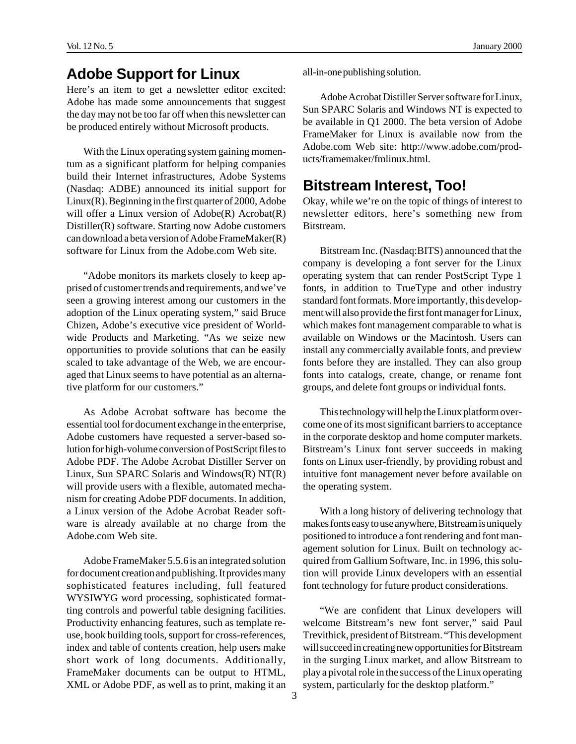## **Adobe Support for Linux**

Here's an item to get a newsletter editor excited: Adobe has made some announcements that suggest the day may not be too far off when this newsletter can be produced entirely without Microsoft products.

With the Linux operating system gaining momentum as a significant platform for helping companies build their Internet infrastructures, Adobe Systems (Nasdaq: ADBE) announced its initial support for Linux(R). Beginning in the first quarter of 2000, Adobe will offer a Linux version of Adobe(R) Acrobat(R) Distiller(R) software. Starting now Adobe customers can download a beta version of Adobe FrameMaker(R) software for Linux from the Adobe.com Web site.

"Adobe monitors its markets closely to keep apprised of customer trends and requirements, and we've seen a growing interest among our customers in the adoption of the Linux operating system," said Bruce Chizen, Adobe's executive vice president of Worldwide Products and Marketing. "As we seize new opportunities to provide solutions that can be easily scaled to take advantage of the Web, we are encouraged that Linux seems to have potential as an alternative platform for our customers."

As Adobe Acrobat software has become the essential tool for document exchange in the enterprise, Adobe customers have requested a server-based solution for high-volume conversion of PostScript files to Adobe PDF. The Adobe Acrobat Distiller Server on Linux, Sun SPARC Solaris and Windows(R) NT(R) will provide users with a flexible, automated mechanism for creating Adobe PDF documents. In addition, a Linux version of the Adobe Acrobat Reader software is already available at no charge from the Adobe.com Web site.

Adobe FrameMaker 5.5.6 is an integrated solution for document creation and publishing. It provides many sophisticated features including, full featured WYSIWYG word processing, sophisticated formatting controls and powerful table designing facilities. Productivity enhancing features, such as template reuse, book building tools, support for cross-references, index and table of contents creation, help users make short work of long documents. Additionally, FrameMaker documents can be output to HTML, XML or Adobe PDF, as well as to print, making it an all-in-one publishing solution.

Adobe Acrobat Distiller Server software for Linux, Sun SPARC Solaris and Windows NT is expected to be available in Q1 2000. The beta version of Adobe FrameMaker for Linux is available now from the Adobe.com Web site: http://www.adobe.com/products/framemaker/fmlinux.html.

#### **Bitstream Interest, Too!**

Okay, while we're on the topic of things of interest to newsletter editors, here's something new from Bitstream.

Bitstream Inc. (Nasdaq:BITS) announced that the company is developing a font server for the Linux operating system that can render PostScript Type 1 fonts, in addition to TrueType and other industry standard font formats. More importantly, this development will also provide the first font manager for Linux, which makes font management comparable to what is available on Windows or the Macintosh. Users can install any commercially available fonts, and preview fonts before they are installed. They can also group fonts into catalogs, create, change, or rename font groups, and delete font groups or individual fonts.

This technology will help the Linux platform overcome one of its most significant barriers to acceptance in the corporate desktop and home computer markets. Bitstream's Linux font server succeeds in making fonts on Linux user-friendly, by providing robust and intuitive font management never before available on the operating system.

With a long history of delivering technology that makes fonts easy to use anywhere, Bitstream is uniquely positioned to introduce a font rendering and font management solution for Linux. Built on technology acquired from Gallium Software, Inc. in 1996, this solution will provide Linux developers with an essential font technology for future product considerations.

"We are confident that Linux developers will welcome Bitstream's new font server," said Paul Trevithick, president of Bitstream. "This development will succeed in creating new opportunities for Bitstream in the surging Linux market, and allow Bitstream to play a pivotal role in the success of the Linux operating system, particularly for the desktop platform."